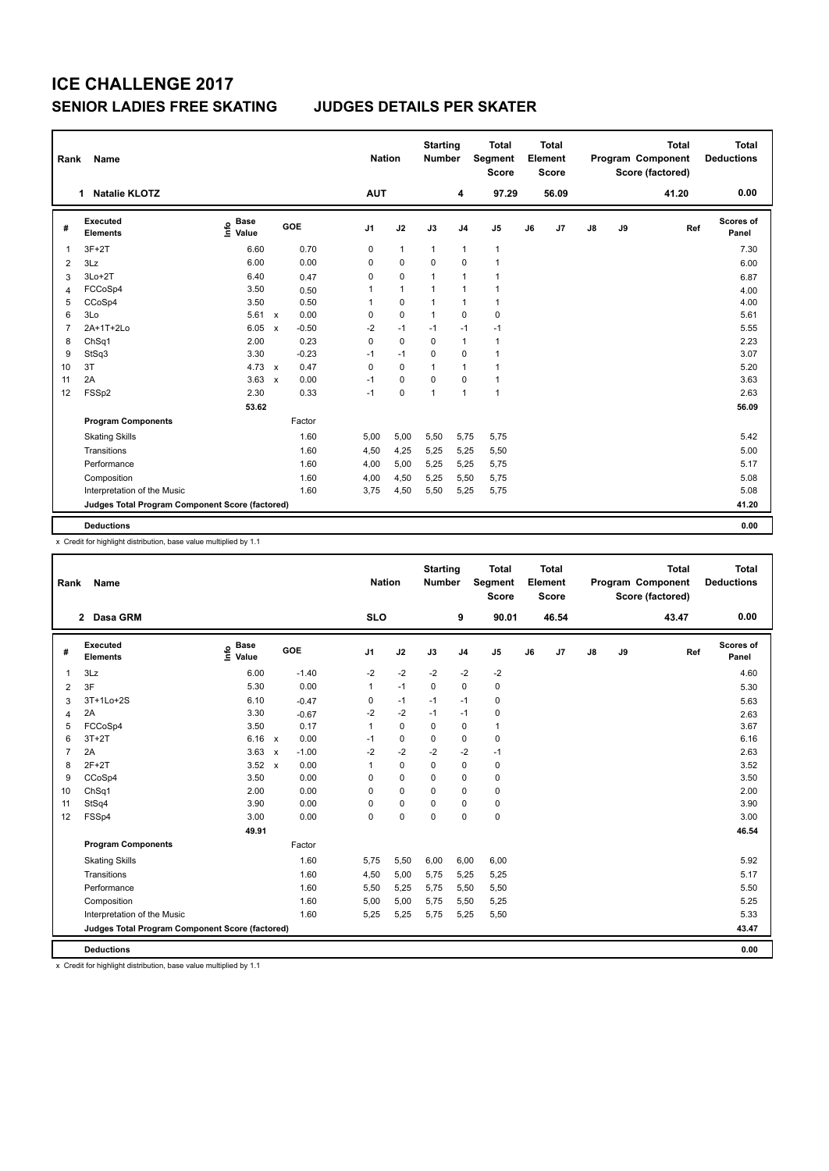| Rank | Name                                            |                                  | <b>Nation</b>             |         | <b>Starting</b><br><b>Number</b> |            | <b>Total</b><br>Segment<br><b>Score</b> |              | <b>Total</b><br>Element<br><b>Score</b> |              |    | <b>Total</b><br>Program Component<br>Score (factored) | <b>Total</b><br><b>Deductions</b> |    |       |                    |
|------|-------------------------------------------------|----------------------------------|---------------------------|---------|----------------------------------|------------|-----------------------------------------|--------------|-----------------------------------------|--------------|----|-------------------------------------------------------|-----------------------------------|----|-------|--------------------|
|      | <b>Natalie KLOTZ</b><br>1                       |                                  |                           |         |                                  | <b>AUT</b> |                                         |              | 4                                       | 97.29        |    | 56.09                                                 |                                   |    | 41.20 | 0.00               |
| #    | Executed<br><b>Elements</b>                     | <b>Base</b><br>e Base<br>⊆ Value |                           | GOE     | J <sub>1</sub>                   |            | J2                                      | J3           | J <sub>4</sub>                          | J5           | J6 | J7                                                    | $\mathsf{J}8$                     | J9 | Ref   | Scores of<br>Panel |
|      | $3F+2T$                                         | 6.60                             |                           | 0.70    | $\mathbf 0$                      |            | $\mathbf{1}$                            | $\mathbf{1}$ | 1                                       | $\mathbf{1}$ |    |                                                       |                                   |    |       | 7.30               |
| 2    | 3Lz                                             | 6.00                             |                           | 0.00    | 0                                |            | $\mathbf 0$                             | $\mathbf 0$  | $\Omega$                                | $\mathbf{1}$ |    |                                                       |                                   |    |       | 6.00               |
| 3    | $3Lo+2T$                                        | 6.40                             |                           | 0.47    | $\mathbf 0$                      |            | $\pmb{0}$                               | $\mathbf{1}$ | 1                                       | $\mathbf{1}$ |    |                                                       |                                   |    |       | 6.87               |
| 4    | FCCoSp4                                         | 3.50                             |                           | 0.50    | 1                                |            | $\mathbf{1}$                            | $\mathbf{1}$ | 1                                       | 1            |    |                                                       |                                   |    |       | 4.00               |
| 5    | CCoSp4                                          | 3.50                             |                           | 0.50    | $\mathbf{1}$                     |            | $\pmb{0}$                               | $\mathbf{1}$ | 1                                       | $\mathbf{1}$ |    |                                                       |                                   |    |       | 4.00               |
| 6    | 3Lo                                             | 5.61                             | $\mathbf{x}$              | 0.00    | 0                                |            | $\mathbf 0$                             | $\mathbf{1}$ | $\Omega$                                | 0            |    |                                                       |                                   |    |       | 5.61               |
| 7    | 2A+1T+2Lo                                       | 6.05                             | $\boldsymbol{\mathsf{x}}$ | $-0.50$ | $-2$                             |            | $-1$                                    | $-1$         | $-1$                                    | $-1$         |    |                                                       |                                   |    |       | 5.55               |
| 8    | ChSq1                                           | 2.00                             |                           | 0.23    | $\mathbf 0$                      |            | $\mathbf 0$                             | $\mathbf 0$  | 1                                       | $\mathbf{1}$ |    |                                                       |                                   |    |       | 2.23               |
| 9    | StSq3                                           | 3.30                             |                           | $-0.23$ | $-1$                             |            | $-1$                                    | $\mathbf 0$  | $\Omega$                                | 1            |    |                                                       |                                   |    |       | 3.07               |
| 10   | 3T                                              | 4.73                             | $\mathbf{x}$              | 0.47    | $\mathbf 0$                      |            | $\mathbf 0$                             | $\mathbf{1}$ | 1                                       | $\mathbf{1}$ |    |                                                       |                                   |    |       | 5.20               |
| 11   | 2A                                              | 3.63                             | $\mathsf{x}$              | 0.00    | $-1$                             |            | $\mathbf 0$                             | $\mathbf 0$  | $\Omega$                                | $\mathbf{1}$ |    |                                                       |                                   |    |       | 3.63               |
| 12   | FSSp2                                           | 2.30                             |                           | 0.33    | $-1$                             |            | $\mathbf 0$                             | $\mathbf{1}$ | 1                                       | 1            |    |                                                       |                                   |    |       | 2.63               |
|      |                                                 | 53.62                            |                           |         |                                  |            |                                         |              |                                         |              |    |                                                       |                                   |    |       | 56.09              |
|      | <b>Program Components</b>                       |                                  |                           | Factor  |                                  |            |                                         |              |                                         |              |    |                                                       |                                   |    |       |                    |
|      | <b>Skating Skills</b>                           |                                  |                           | 1.60    |                                  | 5,00       | 5,00                                    | 5,50         | 5,75                                    | 5,75         |    |                                                       |                                   |    |       | 5.42               |
|      | Transitions                                     |                                  |                           | 1.60    |                                  | 4,50       | 4,25                                    | 5,25         | 5,25                                    | 5,50         |    |                                                       |                                   |    |       | 5.00               |
|      | Performance                                     |                                  |                           | 1.60    |                                  | 4,00       | 5,00                                    | 5,25         | 5,25                                    | 5,75         |    |                                                       |                                   |    |       | 5.17               |
|      | Composition                                     |                                  |                           | 1.60    |                                  | 4,00       | 4,50                                    | 5,25         | 5,50                                    | 5,75         |    |                                                       |                                   |    |       | 5.08               |
|      | Interpretation of the Music                     |                                  |                           | 1.60    |                                  | 3,75       | 4,50                                    | 5,50         | 5,25                                    | 5,75         |    |                                                       |                                   |    |       | 5.08               |
|      | Judges Total Program Component Score (factored) |                                  |                           |         |                                  |            |                                         |              |                                         |              |    |                                                       |                                   |    |       | 41.20              |
|      | <b>Deductions</b>                               |                                  |                           |         |                                  |            |                                         |              |                                         |              |    |                                                       |                                   |    |       | 0.00               |

x Credit for highlight distribution, base value multiplied by 1.1

| Rank           | <b>Name</b>                                     |                              |                         | <b>Nation</b>  |             | <b>Starting</b><br><b>Number</b> |                | <b>Total</b><br>Segment<br><b>Score</b> |    | <b>Total</b><br>Element<br><b>Score</b> |    |    | <b>Total</b><br>Program Component<br>Score (factored) | <b>Total</b><br><b>Deductions</b> |
|----------------|-------------------------------------------------|------------------------------|-------------------------|----------------|-------------|----------------------------------|----------------|-----------------------------------------|----|-----------------------------------------|----|----|-------------------------------------------------------|-----------------------------------|
|                | 2 Dasa GRM                                      |                              |                         | <b>SLO</b>     |             |                                  | 9              | 90.01                                   |    | 46.54                                   |    |    | 43.47                                                 | 0.00                              |
| #              | Executed<br><b>Elements</b>                     | <b>Base</b><br>١π۴ο<br>Value | GOE                     | J <sub>1</sub> | J2          | J3                               | J <sub>4</sub> | J <sub>5</sub>                          | J6 | J7                                      | J8 | J9 | Ref                                                   | <b>Scores of</b><br>Panel         |
| 1              | 3Lz                                             | 6.00                         | $-1.40$                 | $-2$           | $-2$        | $-2$                             | $-2$           | $-2$                                    |    |                                         |    |    |                                                       | 4.60                              |
| 2              | 3F                                              | 5.30                         | 0.00                    | 1              | $-1$        | 0                                | 0              | $\pmb{0}$                               |    |                                         |    |    |                                                       | 5.30                              |
| 3              | 3T+1Lo+2S                                       | 6.10                         | $-0.47$                 | 0              | $-1$        | $-1$                             | $-1$           | $\pmb{0}$                               |    |                                         |    |    |                                                       | 5.63                              |
| 4              | 2A                                              | 3.30                         | $-0.67$                 | $-2$           | $-2$        | $-1$                             | $-1$           | 0                                       |    |                                         |    |    |                                                       | 2.63                              |
| 5              | FCCoSp4                                         | 3.50                         | 0.17                    | 1              | $\Omega$    | $\Omega$                         | 0              | $\mathbf{1}$                            |    |                                         |    |    |                                                       | 3.67                              |
| 6              | $3T+2T$                                         | 6.16                         | 0.00<br>$\mathbf{x}$    | $-1$           | $\mathbf 0$ | 0                                | $\mathbf 0$    | $\pmb{0}$                               |    |                                         |    |    |                                                       | 6.16                              |
| $\overline{7}$ | 2A                                              | 3.63                         | $-1.00$<br>$\mathsf{x}$ | $-2$           | $-2$        | $-2$                             | $-2$           | $-1$                                    |    |                                         |    |    |                                                       | 2.63                              |
| 8              | $2F+2T$                                         | 3.52                         | 0.00<br>$\mathbf{x}$    | 1              | $\mathbf 0$ | 0                                | $\mathbf 0$    | 0                                       |    |                                         |    |    |                                                       | 3.52                              |
| 9              | CCoSp4                                          | 3.50                         | 0.00                    | 0              | $\mathbf 0$ | 0                                | 0              | $\pmb{0}$                               |    |                                         |    |    |                                                       | 3.50                              |
| 10             | ChSq1                                           | 2.00                         | 0.00                    | 0              | $\Omega$    | 0                                | $\Omega$       | 0                                       |    |                                         |    |    |                                                       | 2.00                              |
| 11             | StSq4                                           | 3.90                         | 0.00                    | 0              | $\mathbf 0$ | 0                                | 0              | $\pmb{0}$                               |    |                                         |    |    |                                                       | 3.90                              |
| 12             | FSSp4                                           | 3.00                         | 0.00                    | 0              | 0           | 0                                | $\mathbf 0$    | $\mathbf 0$                             |    |                                         |    |    |                                                       | 3.00                              |
|                |                                                 | 49.91                        |                         |                |             |                                  |                |                                         |    |                                         |    |    |                                                       | 46.54                             |
|                | <b>Program Components</b>                       |                              | Factor                  |                |             |                                  |                |                                         |    |                                         |    |    |                                                       |                                   |
|                | <b>Skating Skills</b>                           |                              | 1.60                    | 5,75           | 5,50        | 6,00                             | 6,00           | 6,00                                    |    |                                         |    |    |                                                       | 5.92                              |
|                | Transitions                                     |                              | 1.60                    | 4,50           | 5,00        | 5.75                             | 5,25           | 5,25                                    |    |                                         |    |    |                                                       | 5.17                              |
|                | Performance                                     |                              | 1.60                    | 5,50           | 5,25        | 5,75                             | 5,50           | 5,50                                    |    |                                         |    |    |                                                       | 5.50                              |
|                | Composition                                     |                              | 1.60                    | 5,00           | 5,00        | 5,75                             | 5,50           | 5,25                                    |    |                                         |    |    |                                                       | 5.25                              |
|                | Interpretation of the Music                     |                              | 1.60                    | 5,25           | 5,25        | 5,75                             | 5,25           | 5,50                                    |    |                                         |    |    |                                                       | 5.33                              |
|                | Judges Total Program Component Score (factored) |                              |                         |                |             |                                  |                |                                         |    |                                         |    |    |                                                       | 43.47                             |
|                | <b>Deductions</b>                               |                              |                         |                |             |                                  |                |                                         |    |                                         |    |    |                                                       | 0.00                              |

x Credit for highlight distribution, base value multiplied by 1.1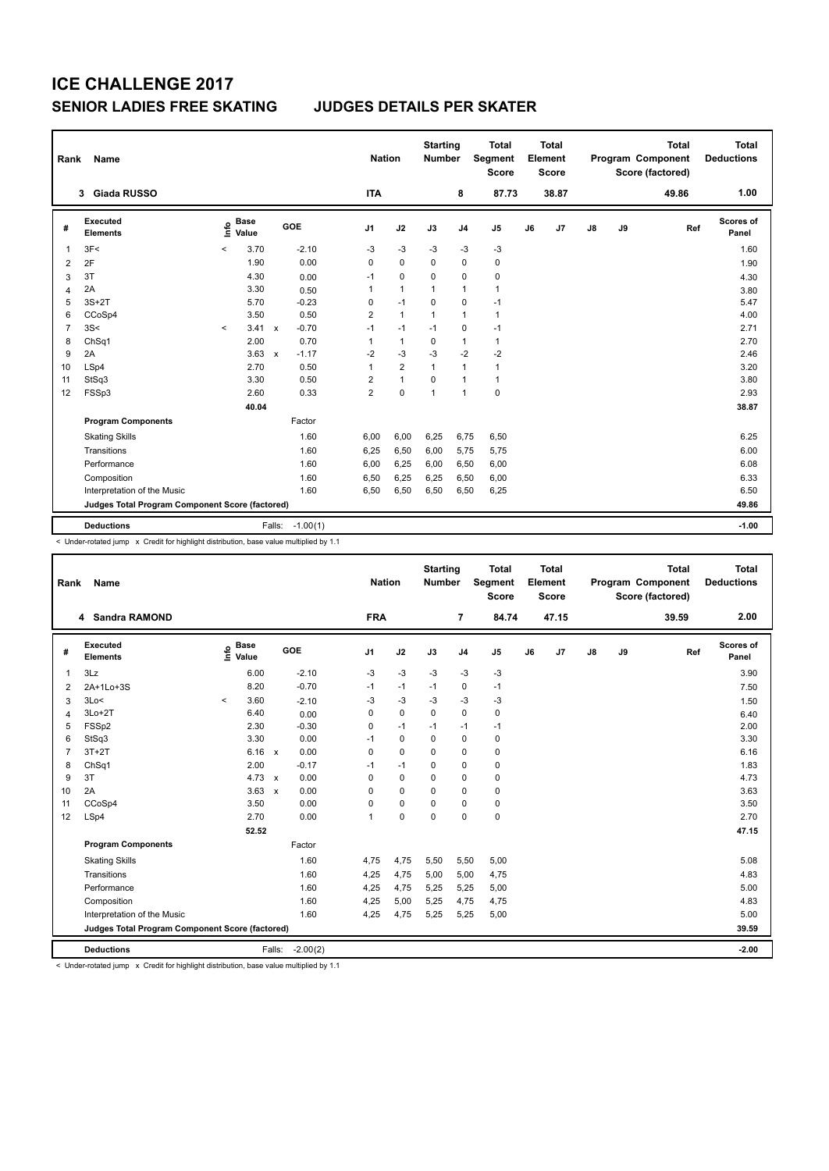| Rank           | Name                                            | <b>Nation</b> |                      | <b>Starting</b><br><b>Number</b> |            | <b>Total</b><br><b>Segment</b><br><b>Score</b> |                | <b>Total</b><br>Element<br><b>Score</b> |                |                | <b>Total</b><br>Program Component<br>Score (factored) | <b>Total</b><br><b>Deductions</b> |               |    |       |                    |
|----------------|-------------------------------------------------|---------------|----------------------|----------------------------------|------------|------------------------------------------------|----------------|-----------------------------------------|----------------|----------------|-------------------------------------------------------|-----------------------------------|---------------|----|-------|--------------------|
|                | <b>Giada RUSSO</b><br>3                         |               |                      |                                  |            | <b>ITA</b>                                     |                |                                         | 8              | 87.73          |                                                       | 38.87                             |               |    | 49.86 | 1.00               |
| #              | Executed<br><b>Elements</b>                     | ١nfo          | <b>Base</b><br>Value |                                  | GOE        | J <sub>1</sub>                                 | J2             | J3                                      | J <sub>4</sub> | J <sub>5</sub> | J6                                                    | J7                                | $\mathsf{J}8$ | J9 | Ref   | Scores of<br>Panel |
| 1              | 3F<                                             | $\prec$       | 3.70                 |                                  | $-2.10$    | -3                                             | $-3$           | $-3$                                    | $-3$           | $-3$           |                                                       |                                   |               |    |       | 1.60               |
| 2              | 2F                                              |               | 1.90                 |                                  | 0.00       | 0                                              | $\mathbf 0$    | $\mathbf 0$                             | $\mathbf 0$    | $\mathbf 0$    |                                                       |                                   |               |    |       | 1.90               |
| 3              | 3T                                              |               | 4.30                 |                                  | 0.00       | $-1$                                           | 0              | 0                                       | $\mathbf 0$    | 0              |                                                       |                                   |               |    |       | 4.30               |
| 4              | 2A                                              |               | 3.30                 |                                  | 0.50       | 1                                              | $\mathbf{1}$   | $\mathbf{1}$                            | $\mathbf{1}$   | $\mathbf{1}$   |                                                       |                                   |               |    |       | 3.80               |
| 5              | $3S+2T$                                         |               | 5.70                 |                                  | $-0.23$    | 0                                              | $-1$           | 0                                       | 0              | $-1$           |                                                       |                                   |               |    |       | 5.47               |
| 6              | CCoSp4                                          |               | 3.50                 |                                  | 0.50       | 2                                              | $\mathbf{1}$   | 1                                       | $\mathbf{1}$   | $\mathbf{1}$   |                                                       |                                   |               |    |       | 4.00               |
| $\overline{7}$ | 3S<                                             | $\prec$       | 3.41                 | $\mathsf{x}$                     | $-0.70$    | $-1$                                           | $-1$           | $-1$                                    | 0              | $-1$           |                                                       |                                   |               |    |       | 2.71               |
| 8              | ChSq1                                           |               | 2.00                 |                                  | 0.70       | 1                                              | $\mathbf{1}$   | 0                                       | $\mathbf{1}$   | $\mathbf{1}$   |                                                       |                                   |               |    |       | 2.70               |
| 9              | 2A                                              |               | 3.63                 | $\mathsf{x}$                     | $-1.17$    | $-2$                                           | $-3$           | -3                                      | $-2$           | $-2$           |                                                       |                                   |               |    |       | 2.46               |
| 10             | LSp4                                            |               | 2.70                 |                                  | 0.50       | 1                                              | $\overline{2}$ | $\mathbf{1}$                            | $\mathbf{1}$   | $\mathbf{1}$   |                                                       |                                   |               |    |       | 3.20               |
| 11             | StSq3                                           |               | 3.30                 |                                  | 0.50       | 2                                              | $\mathbf{1}$   | 0                                       | $\mathbf{1}$   | $\mathbf{1}$   |                                                       |                                   |               |    |       | 3.80               |
| 12             | FSSp3                                           |               | 2.60                 |                                  | 0.33       | $\overline{2}$                                 | $\mathbf 0$    | 1                                       | $\mathbf{1}$   | $\mathbf 0$    |                                                       |                                   |               |    |       | 2.93               |
|                |                                                 |               | 40.04                |                                  |            |                                                |                |                                         |                |                |                                                       |                                   |               |    |       | 38.87              |
|                | <b>Program Components</b>                       |               |                      |                                  | Factor     |                                                |                |                                         |                |                |                                                       |                                   |               |    |       |                    |
|                | <b>Skating Skills</b>                           |               |                      |                                  | 1.60       | 6,00                                           | 6,00           | 6,25                                    | 6,75           | 6,50           |                                                       |                                   |               |    |       | 6.25               |
|                | Transitions                                     |               |                      |                                  | 1.60       | 6,25                                           | 6,50           | 6,00                                    | 5,75           | 5,75           |                                                       |                                   |               |    |       | 6.00               |
|                | Performance                                     |               |                      |                                  | 1.60       | 6,00                                           | 6,25           | 6,00                                    | 6,50           | 6,00           |                                                       |                                   |               |    |       | 6.08               |
|                | Composition                                     |               |                      |                                  | 1.60       | 6,50                                           | 6,25           | 6,25                                    | 6,50           | 6,00           |                                                       |                                   |               |    |       | 6.33               |
|                | Interpretation of the Music                     |               |                      |                                  | 1.60       | 6,50                                           | 6,50           | 6,50                                    | 6,50           | 6,25           |                                                       |                                   |               |    |       | 6.50               |
|                | Judges Total Program Component Score (factored) |               |                      |                                  |            |                                                |                |                                         |                |                |                                                       |                                   |               |    |       | 49.86              |
|                | <b>Deductions</b>                               |               |                      | Falls:                           | $-1.00(1)$ |                                                |                |                                         |                |                |                                                       |                                   |               |    |       | $-1.00$            |
|                |                                                 |               |                      |                                  |            |                                                |                |                                         |                |                |                                                       |                                   |               |    |       |                    |

< Under-rotated jump x Credit for highlight distribution, base value multiplied by 1.1

| Rank           | Name                                            |                            |              |            | <b>Nation</b>  |             | <b>Starting</b><br><b>Number</b> |                | <b>Total</b><br>Segment<br><b>Score</b> |    | <b>Total</b><br>Element<br><b>Score</b> |    |    | <b>Total</b><br><b>Program Component</b><br>Score (factored) | <b>Total</b><br><b>Deductions</b> |
|----------------|-------------------------------------------------|----------------------------|--------------|------------|----------------|-------------|----------------------------------|----------------|-----------------------------------------|----|-----------------------------------------|----|----|--------------------------------------------------------------|-----------------------------------|
|                | 4 Sandra RAMOND                                 |                            |              |            | <b>FRA</b>     |             |                                  | $\overline{7}$ | 84.74                                   |    | 47.15                                   |    |    | 39.59                                                        | 2.00                              |
| #              | Executed<br><b>Elements</b>                     | <b>Base</b><br>۴ê<br>Value | GOE          |            | J <sub>1</sub> | J2          | J3                               | J <sub>4</sub> | J <sub>5</sub>                          | J6 | J7                                      | J8 | J9 | Ref                                                          | <b>Scores of</b><br>Panel         |
| 1              | 3Lz                                             | 6.00                       |              | $-2.10$    | $-3$           | $-3$        | $-3$                             | $-3$           | -3                                      |    |                                         |    |    |                                                              | 3.90                              |
| $\overline{2}$ | 2A+1Lo+3S                                       | 8.20                       |              | $-0.70$    | $-1$           | $-1$        | $-1$                             | 0              | $-1$                                    |    |                                         |    |    |                                                              | 7.50                              |
| 3              | 3Lo<                                            | 3.60<br>$\prec$            |              | $-2.10$    | $-3$           | $-3$        | $-3$                             | $-3$           | -3                                      |    |                                         |    |    |                                                              | 1.50                              |
| 4              | $3Lo+2T$                                        | 6.40                       |              | 0.00       | 0              | $\mathbf 0$ | 0                                | 0              | 0                                       |    |                                         |    |    |                                                              | 6.40                              |
| 5              | FSSp2                                           | 2.30                       |              | $-0.30$    | 0              | $-1$        | $-1$                             | $-1$           | $-1$                                    |    |                                         |    |    |                                                              | 2.00                              |
| 6              | StSq3                                           | 3.30                       |              | 0.00       | $-1$           | 0           | $\mathbf 0$                      | $\mathbf 0$    | $\mathbf 0$                             |    |                                         |    |    |                                                              | 3.30                              |
| $\overline{7}$ | $3T+2T$                                         | 6.16                       | $\mathsf{x}$ | 0.00       | 0              | 0           | $\Omega$                         | 0              | $\mathbf 0$                             |    |                                         |    |    |                                                              | 6.16                              |
| 8              | ChSq1                                           | 2.00                       |              | $-0.17$    | $-1$           | $-1$        | 0                                | 0              | $\mathbf 0$                             |    |                                         |    |    |                                                              | 1.83                              |
| 9              | 3T                                              | 4.73 $\times$              |              | 0.00       | 0              | 0           | $\Omega$                         | 0              | $\mathbf 0$                             |    |                                         |    |    |                                                              | 4.73                              |
| 10             | 2A                                              | 3.63                       | $\mathsf{x}$ | 0.00       | 0              | 0           | $\Omega$                         | 0              | 0                                       |    |                                         |    |    |                                                              | 3.63                              |
| 11             | CCoSp4                                          | 3.50                       |              | 0.00       | 0              | 0           | 0                                | 0              | $\mathbf 0$                             |    |                                         |    |    |                                                              | 3.50                              |
| 12             | LSp4                                            | 2.70                       |              | 0.00       | 1              | 0           | $\Omega$                         | 0              | $\mathbf 0$                             |    |                                         |    |    |                                                              | 2.70                              |
|                |                                                 | 52.52                      |              |            |                |             |                                  |                |                                         |    |                                         |    |    |                                                              | 47.15                             |
|                | <b>Program Components</b>                       |                            |              | Factor     |                |             |                                  |                |                                         |    |                                         |    |    |                                                              |                                   |
|                | <b>Skating Skills</b>                           |                            |              | 1.60       | 4,75           | 4,75        | 5,50                             | 5,50           | 5,00                                    |    |                                         |    |    |                                                              | 5.08                              |
|                | Transitions                                     |                            |              | 1.60       | 4,25           | 4,75        | 5,00                             | 5,00           | 4,75                                    |    |                                         |    |    |                                                              | 4.83                              |
|                | Performance                                     |                            |              | 1.60       | 4,25           | 4,75        | 5,25                             | 5,25           | 5,00                                    |    |                                         |    |    |                                                              | 5.00                              |
|                | Composition                                     |                            |              | 1.60       | 4,25           | 5,00        | 5,25                             | 4,75           | 4,75                                    |    |                                         |    |    |                                                              | 4.83                              |
|                | Interpretation of the Music                     |                            |              | 1.60       | 4,25           | 4,75        | 5,25                             | 5,25           | 5,00                                    |    |                                         |    |    |                                                              | 5.00                              |
|                | Judges Total Program Component Score (factored) |                            |              |            |                |             |                                  |                |                                         |    |                                         |    |    |                                                              | 39.59                             |
|                | <b>Deductions</b>                               |                            | Falls:       | $-2.00(2)$ |                |             |                                  |                |                                         |    |                                         |    |    |                                                              | $-2.00$                           |

< Under-rotated jump x Credit for highlight distribution, base value multiplied by 1.1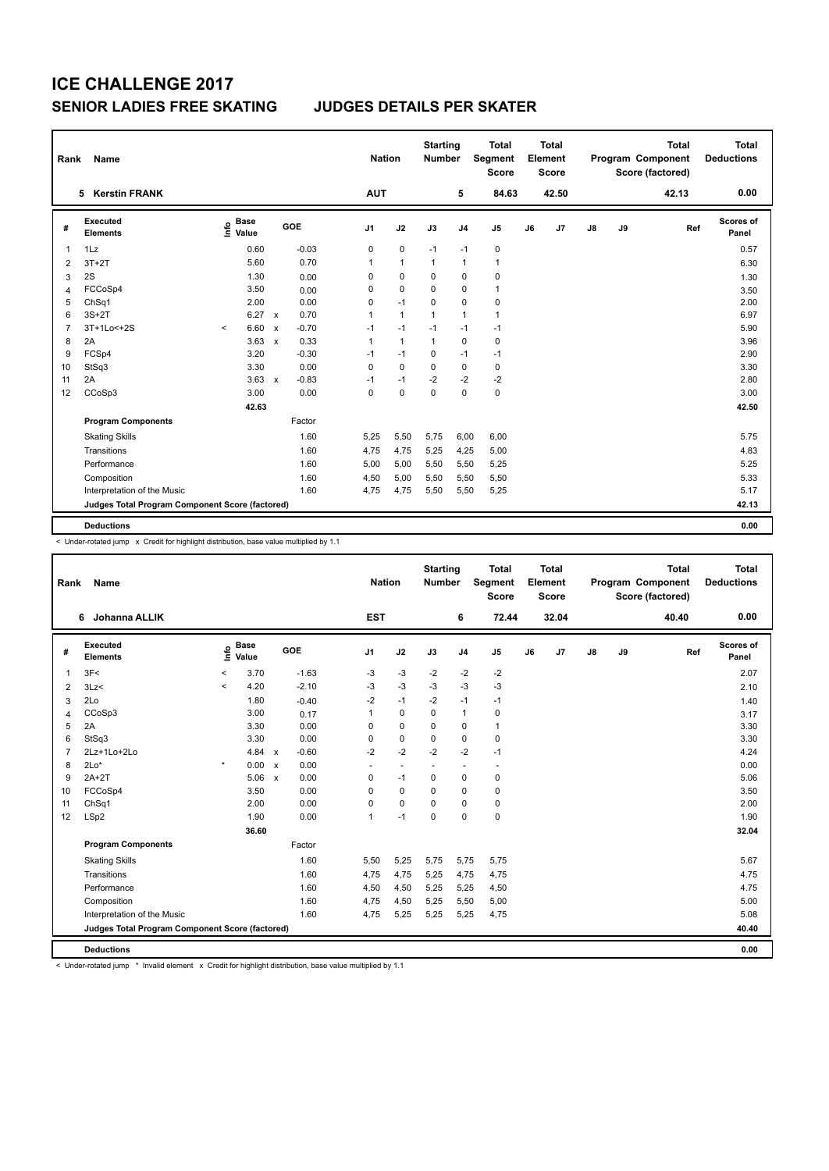| Rank           | Name                                            | <b>Nation</b> |                                  | <b>Starting</b><br><b>Number</b> |                | <b>Total</b><br>Segment<br><b>Score</b> |              | Total<br>Element<br><b>Score</b> |                |    | <b>Total</b><br>Program Component<br>Score (factored) | <b>Total</b><br><b>Deductions</b> |    |       |                    |
|----------------|-------------------------------------------------|---------------|----------------------------------|----------------------------------|----------------|-----------------------------------------|--------------|----------------------------------|----------------|----|-------------------------------------------------------|-----------------------------------|----|-------|--------------------|
|                | <b>Kerstin FRANK</b><br>5                       |               |                                  |                                  | <b>AUT</b>     |                                         |              | 5                                | 84.63          |    | 42.50                                                 |                                   |    | 42.13 | 0.00               |
| #              | <b>Executed</b><br><b>Elements</b>              |               | <b>Base</b><br>e Base<br>⊆ Value | GOE                              | J <sub>1</sub> | J2                                      | J3           | J <sub>4</sub>                   | J <sub>5</sub> | J6 | J <sub>7</sub>                                        | $\mathsf{J}8$                     | J9 | Ref   | Scores of<br>Panel |
| $\overline{1}$ | 1Lz                                             |               | 0.60                             | $-0.03$                          | 0              | $\pmb{0}$                               | $-1$         | $-1$                             | 0              |    |                                                       |                                   |    |       | 0.57               |
| 2              | $3T+2T$                                         |               | 5.60                             | 0.70                             | $\mathbf{1}$   | $\mathbf{1}$                            | $\mathbf{1}$ | $\mathbf{1}$                     | 1              |    |                                                       |                                   |    |       | 6.30               |
| 3              | 2S                                              |               | 1.30                             | 0.00                             | 0              | 0                                       | 0            | 0                                | 0              |    |                                                       |                                   |    |       | 1.30               |
| $\overline{4}$ | FCCoSp4                                         |               | 3.50                             | 0.00                             | $\Omega$       | $\mathbf 0$                             | $\Omega$     | $\Omega$                         | 1              |    |                                                       |                                   |    |       | 3.50               |
| 5              | ChSq1                                           |               | 2.00                             | 0.00                             | 0              | $-1$                                    | $\Omega$     | 0                                | 0              |    |                                                       |                                   |    |       | 2.00               |
| 6              | $3S+2T$                                         |               | 6.27                             | 0.70<br>$\mathsf{x}$             | 1              | $\mathbf{1}$                            | $\mathbf 1$  | $\mathbf{1}$                     | $\mathbf{1}$   |    |                                                       |                                   |    |       | 6.97               |
| $\overline{7}$ | 3T+1Lo<+2S                                      | $\prec$       | 6.60                             | $-0.70$<br>$\mathsf{x}$          | $-1$           | $-1$                                    | $-1$         | $-1$                             | $-1$           |    |                                                       |                                   |    |       | 5.90               |
| 8              | 2A                                              |               | 3.63                             | 0.33<br>$\mathsf{x}$             | 1              | $\mathbf{1}$                            | 1            | 0                                | 0              |    |                                                       |                                   |    |       | 3.96               |
| 9              | FCSp4                                           |               | 3.20                             | $-0.30$                          | $-1$           | $-1$                                    | 0            | $-1$                             | $-1$           |    |                                                       |                                   |    |       | 2.90               |
| 10             | StSq3                                           |               | 3.30                             | 0.00                             | $\Omega$       | $\Omega$                                | $\Omega$     | 0                                | 0              |    |                                                       |                                   |    |       | 3.30               |
| 11             | 2A                                              |               | 3.63                             | $-0.83$<br>$\mathsf{x}$          | $-1$           | $-1$                                    | $-2$         | $-2$                             | $-2$           |    |                                                       |                                   |    |       | 2.80               |
| 12             | CCoSp3                                          |               | 3.00                             | 0.00                             | $\Omega$       | $\Omega$                                | $\Omega$     | $\Omega$                         | 0              |    |                                                       |                                   |    |       | 3.00               |
|                |                                                 |               | 42.63                            |                                  |                |                                         |              |                                  |                |    |                                                       |                                   |    |       | 42.50              |
|                | <b>Program Components</b>                       |               |                                  | Factor                           |                |                                         |              |                                  |                |    |                                                       |                                   |    |       |                    |
|                | <b>Skating Skills</b>                           |               |                                  | 1.60                             | 5,25           | 5,50                                    | 5,75         | 6,00                             | 6,00           |    |                                                       |                                   |    |       | 5.75               |
|                | Transitions                                     |               |                                  | 1.60                             | 4.75           | 4,75                                    | 5,25         | 4,25                             | 5,00           |    |                                                       |                                   |    |       | 4.83               |
|                | Performance                                     |               |                                  | 1.60                             | 5,00           | 5,00                                    | 5,50         | 5,50                             | 5,25           |    |                                                       |                                   |    |       | 5.25               |
|                | Composition                                     |               |                                  | 1.60                             | 4,50           | 5,00                                    | 5,50         | 5,50                             | 5,50           |    |                                                       |                                   |    |       | 5.33               |
|                | Interpretation of the Music                     |               |                                  | 1.60                             | 4,75           | 4,75                                    | 5,50         | 5,50                             | 5,25           |    |                                                       |                                   |    |       | 5.17               |
|                | Judges Total Program Component Score (factored) |               |                                  |                                  |                |                                         |              |                                  |                |    |                                                       |                                   |    |       | 42.13              |
|                | <b>Deductions</b>                               |               |                                  |                                  |                |                                         |              |                                  |                |    |                                                       |                                   |    |       | 0.00               |

< Under-rotated jump x Credit for highlight distribution, base value multiplied by 1.1

| Rank           | Name                                            |         |                      |                           |         |                | <b>Nation</b> | <b>Starting</b><br><b>Number</b> |                | <b>Total</b><br>Segment<br><b>Score</b> |    | <b>Total</b><br>Element<br><b>Score</b> |               |    | <b>Total</b><br>Program Component<br>Score (factored) | <b>Total</b><br><b>Deductions</b> |
|----------------|-------------------------------------------------|---------|----------------------|---------------------------|---------|----------------|---------------|----------------------------------|----------------|-----------------------------------------|----|-----------------------------------------|---------------|----|-------------------------------------------------------|-----------------------------------|
|                | Johanna ALLIK<br>6                              |         |                      |                           |         | <b>EST</b>     |               |                                  | 6              | 72.44                                   |    | 32.04                                   |               |    | 40.40                                                 | 0.00                              |
| #              | Executed<br><b>Elements</b>                     | Info    | <b>Base</b><br>Value |                           | GOE     | J <sub>1</sub> | J2            | J3                               | J <sub>4</sub> | J <sub>5</sub>                          | J6 | J7                                      | $\mathsf{J}8$ | J9 | Ref                                                   | Scores of<br>Panel                |
| $\mathbf{1}$   | 3F<                                             | $\,<$   | 3.70                 |                           | $-1.63$ | -3             | $-3$          | $-2$                             | $-2$           | -2                                      |    |                                         |               |    |                                                       | 2.07                              |
| 2              | 3Lz                                             | $\prec$ | 4.20                 |                           | $-2.10$ | -3             | $-3$          | -3                               | $-3$           | $-3$                                    |    |                                         |               |    |                                                       | 2.10                              |
| 3              | 2Lo                                             |         | 1.80                 |                           | $-0.40$ | $-2$           | $-1$          | $-2$                             | $-1$           | $-1$                                    |    |                                         |               |    |                                                       | 1.40                              |
| $\overline{4}$ | CCoSp3                                          |         | 3.00                 |                           | 0.17    | 1              | $\mathbf 0$   | $\mathbf 0$                      | $\mathbf{1}$   | $\mathbf 0$                             |    |                                         |               |    |                                                       | 3.17                              |
| 5              | 2A                                              |         | 3.30                 |                           | 0.00    | 0              | 0             | $\Omega$                         | 0              | $\mathbf{1}$                            |    |                                         |               |    |                                                       | 3.30                              |
| 6              | StSq3                                           |         | 3.30                 |                           | 0.00    | 0              | $\mathbf 0$   | 0                                | $\mathbf 0$    | $\mathbf 0$                             |    |                                         |               |    |                                                       | 3.30                              |
| $\overline{7}$ | 2Lz+1Lo+2Lo                                     |         | 4.84 x               |                           | $-0.60$ | $-2$           | $-2$          | $-2$                             | $-2$           | $-1$                                    |    |                                         |               |    |                                                       | 4.24                              |
| 8              | $2Lo*$                                          | $\star$ | 0.00                 | $\boldsymbol{\mathsf{x}}$ | 0.00    | ٠              |               |                                  | ٠              | ٠                                       |    |                                         |               |    |                                                       | 0.00                              |
| 9              | $2A+2T$                                         |         | 5.06                 | $\boldsymbol{\mathsf{x}}$ | 0.00    | 0              | $-1$          | 0                                | $\pmb{0}$      | $\pmb{0}$                               |    |                                         |               |    |                                                       | 5.06                              |
| 10             | FCCoSp4                                         |         | 3.50                 |                           | 0.00    | 0              | 0             | 0                                | 0              | 0                                       |    |                                         |               |    |                                                       | 3.50                              |
| 11             | ChSq1                                           |         | 2.00                 |                           | 0.00    | $\mathbf 0$    | $\mathbf 0$   | $\Omega$                         | $\mathbf 0$    | $\pmb{0}$                               |    |                                         |               |    |                                                       | 2.00                              |
| 12             | LSp2                                            |         | 1.90                 |                           | 0.00    | $\overline{1}$ | $-1$          | $\Omega$                         | $\mathbf 0$    | $\mathbf 0$                             |    |                                         |               |    |                                                       | 1.90                              |
|                |                                                 |         | 36.60                |                           |         |                |               |                                  |                |                                         |    |                                         |               |    |                                                       | 32.04                             |
|                | <b>Program Components</b>                       |         |                      |                           | Factor  |                |               |                                  |                |                                         |    |                                         |               |    |                                                       |                                   |
|                | <b>Skating Skills</b>                           |         |                      |                           | 1.60    | 5,50           | 5,25          | 5,75                             | 5,75           | 5,75                                    |    |                                         |               |    |                                                       | 5.67                              |
|                | Transitions                                     |         |                      |                           | 1.60    | 4,75           | 4,75          | 5,25                             | 4,75           | 4,75                                    |    |                                         |               |    |                                                       | 4.75                              |
|                | Performance                                     |         |                      |                           | 1.60    | 4,50           | 4,50          | 5,25                             | 5,25           | 4,50                                    |    |                                         |               |    |                                                       | 4.75                              |
|                | Composition                                     |         |                      |                           | 1.60    | 4,75           | 4,50          | 5,25                             | 5,50           | 5,00                                    |    |                                         |               |    |                                                       | 5.00                              |
|                | Interpretation of the Music                     |         |                      |                           | 1.60    | 4,75           | 5,25          | 5,25                             | 5,25           | 4,75                                    |    |                                         |               |    |                                                       | 5.08                              |
|                | Judges Total Program Component Score (factored) |         |                      |                           |         |                |               |                                  |                |                                         |    |                                         |               |    |                                                       | 40.40                             |
|                | <b>Deductions</b>                               |         |                      |                           |         |                |               |                                  |                |                                         |    |                                         |               |    |                                                       | 0.00                              |

< Under-rotated jump \* Invalid element x Credit for highlight distribution, base value multiplied by 1.1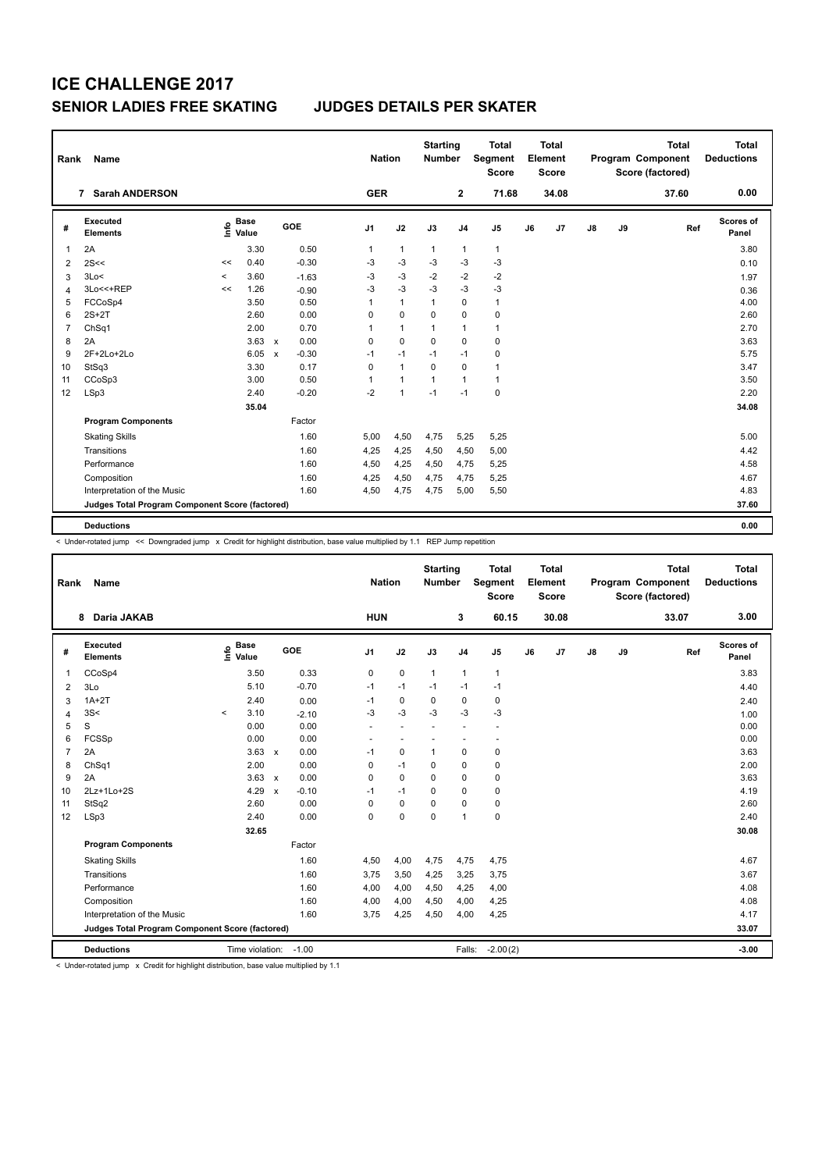| Rank | Name                                            |                     | <b>Nation</b>        | <b>Starting</b><br><b>Number</b> |         | <b>Total</b><br>Segment<br><b>Score</b> |              | Total<br>Element<br><b>Score</b> |                |                | <b>Total</b><br>Program Component<br>Score (factored) | <b>Total</b><br><b>Deductions</b> |               |    |       |                    |
|------|-------------------------------------------------|---------------------|----------------------|----------------------------------|---------|-----------------------------------------|--------------|----------------------------------|----------------|----------------|-------------------------------------------------------|-----------------------------------|---------------|----|-------|--------------------|
|      | <b>Sarah ANDERSON</b><br>7                      |                     |                      |                                  |         | <b>GER</b>                              |              |                                  | $\mathbf 2$    | 71.68          |                                                       | 34.08                             |               |    | 37.60 | 0.00               |
| #    | Executed<br><b>Elements</b>                     | lnfo                | <b>Base</b><br>Value |                                  | GOE     | J <sub>1</sub>                          | J2           | J3                               | J <sub>4</sub> | J <sub>5</sub> | J6                                                    | J7                                | $\mathsf{J}8$ | J9 | Ref   | Scores of<br>Panel |
|      | 2A                                              |                     | 3.30                 |                                  | 0.50    | $\mathbf{1}$                            | $\mathbf{1}$ | $\mathbf{1}$                     | $\mathbf{1}$   | $\mathbf{1}$   |                                                       |                                   |               |    |       | 3.80               |
| 2    | 2S<<                                            | <<                  | 0.40                 |                                  | $-0.30$ | $-3$                                    | $-3$         | $-3$                             | $-3$           | $-3$           |                                                       |                                   |               |    |       | 0.10               |
| 3    | 3Lo<                                            | $\hat{\phantom{a}}$ | 3.60                 |                                  | $-1.63$ | $-3$                                    | $-3$         | $-2$                             | $-2$           | $-2$           |                                                       |                                   |               |    |       | 1.97               |
| Δ    | 3Lo<<+REP                                       | <<                  | 1.26                 |                                  | $-0.90$ | $-3$                                    | $-3$         | $-3$                             | $-3$           | $-3$           |                                                       |                                   |               |    |       | 0.36               |
| 5    | FCCoSp4                                         |                     | 3.50                 |                                  | 0.50    | 1                                       | $\mathbf{1}$ | $\mathbf{1}$                     | $\mathbf 0$    | $\mathbf{1}$   |                                                       |                                   |               |    |       | 4.00               |
| 6    | $2S+2T$                                         |                     | 2.60                 |                                  | 0.00    | 0                                       | $\mathbf 0$  | $\Omega$                         | $\Omega$       | 0              |                                                       |                                   |               |    |       | 2.60               |
| 7    | ChSq1                                           |                     | 2.00                 |                                  | 0.70    | 1                                       | $\mathbf{1}$ | 1                                | 1              | 1              |                                                       |                                   |               |    |       | 2.70               |
| 8    | 2A                                              |                     | 3.63                 | $\mathsf{x}$                     | 0.00    | $\mathbf 0$                             | $\mathbf 0$  | $\mathbf 0$                      | $\Omega$       | 0              |                                                       |                                   |               |    |       | 3.63               |
| 9    | 2F+2Lo+2Lo                                      |                     | 6.05                 | $\mathsf{x}$                     | $-0.30$ | $-1$                                    | $-1$         | $-1$                             | $-1$           | 0              |                                                       |                                   |               |    |       | 5.75               |
| 10   | StSq3                                           |                     | 3.30                 |                                  | 0.17    | $\mathbf 0$                             | $\mathbf{1}$ | $\mathbf 0$                      | $\Omega$       | $\mathbf{1}$   |                                                       |                                   |               |    |       | 3.47               |
| 11   | CCoSp3                                          |                     | 3.00                 |                                  | 0.50    | 1                                       | $\mathbf{1}$ | $\mathbf{1}$                     | 1              | $\mathbf{1}$   |                                                       |                                   |               |    |       | 3.50               |
| 12   | LSp3                                            |                     | 2.40                 |                                  | $-0.20$ | $-2$                                    | $\mathbf{1}$ | $-1$                             | $-1$           | 0              |                                                       |                                   |               |    |       | 2.20               |
|      |                                                 |                     | 35.04                |                                  |         |                                         |              |                                  |                |                |                                                       |                                   |               |    |       | 34.08              |
|      | <b>Program Components</b>                       |                     |                      |                                  | Factor  |                                         |              |                                  |                |                |                                                       |                                   |               |    |       |                    |
|      | <b>Skating Skills</b>                           |                     |                      |                                  | 1.60    | 5,00                                    | 4,50         | 4,75                             | 5,25           | 5,25           |                                                       |                                   |               |    |       | 5.00               |
|      | Transitions                                     |                     |                      |                                  | 1.60    | 4,25                                    | 4,25         | 4,50                             | 4,50           | 5,00           |                                                       |                                   |               |    |       | 4.42               |
|      | Performance                                     |                     |                      |                                  | 1.60    | 4,50                                    | 4,25         | 4,50                             | 4,75           | 5,25           |                                                       |                                   |               |    |       | 4.58               |
|      | Composition                                     |                     |                      |                                  | 1.60    | 4,25                                    | 4,50         | 4,75                             | 4,75           | 5,25           |                                                       |                                   |               |    |       | 4.67               |
|      | Interpretation of the Music                     |                     |                      |                                  | 1.60    | 4,50                                    | 4,75         | 4,75                             | 5,00           | 5,50           |                                                       |                                   |               |    |       | 4.83               |
|      | Judges Total Program Component Score (factored) |                     |                      |                                  |         |                                         |              |                                  |                |                |                                                       |                                   |               |    |       | 37.60              |
|      | <b>Deductions</b>                               |                     |                      |                                  |         |                                         |              |                                  |                |                |                                                       |                                   |               |    |       | 0.00               |

< Under-rotated jump << Downgraded jump x Credit for highlight distribution, base value multiplied by 1.1 REP Jump repetition

| Rank           | Name                                            |         |                                       |              |         |                | <b>Nation</b> | <b>Starting</b><br>Number |                | <b>Total</b><br>Segment<br><b>Score</b> |    | <b>Total</b><br>Element<br><b>Score</b> |    |    | <b>Total</b><br><b>Program Component</b><br>Score (factored) | <b>Total</b><br><b>Deductions</b> |
|----------------|-------------------------------------------------|---------|---------------------------------------|--------------|---------|----------------|---------------|---------------------------|----------------|-----------------------------------------|----|-----------------------------------------|----|----|--------------------------------------------------------------|-----------------------------------|
|                | Daria JAKAB<br>8                                |         |                                       |              |         | <b>HUN</b>     |               |                           | 3              | 60.15                                   |    | 30.08                                   |    |    | 33.07                                                        | 3.00                              |
| #              | Executed<br><b>Elements</b>                     |         | <b>Base</b><br>$\sum_{i=1}^{6}$ Value |              | GOE     | J <sub>1</sub> | J2            | J3                        | J <sub>4</sub> | J <sub>5</sub>                          | J6 | J7                                      | J8 | J9 | Ref                                                          | <b>Scores of</b><br>Panel         |
| 1              | CCoSp4                                          |         | 3.50                                  |              | 0.33    | 0              | $\mathbf 0$   | $\mathbf{1}$              | $\mathbf{1}$   | $\mathbf{1}$                            |    |                                         |    |    |                                                              | 3.83                              |
| 2              | 3Lo                                             |         | 5.10                                  |              | $-0.70$ | $-1$           | $-1$          | $-1$                      | $-1$           | $-1$                                    |    |                                         |    |    |                                                              | 4.40                              |
| 3              | $1A+2T$                                         |         | 2.40                                  |              | 0.00    | $-1$           | 0             | 0                         | 0              | $\pmb{0}$                               |    |                                         |    |    |                                                              | 2.40                              |
| $\overline{4}$ | 3S<                                             | $\prec$ | 3.10                                  |              | $-2.10$ | $-3$           | $-3$          | $-3$                      | $-3$           | $-3$                                    |    |                                         |    |    |                                                              | 1.00                              |
| 5              | S                                               |         | 0.00                                  |              | 0.00    | ÷.             | ÷             | $\overline{a}$            | ÷.             | ä,                                      |    |                                         |    |    |                                                              | 0.00                              |
| 6              | FCSSp                                           |         | 0.00                                  |              | 0.00    | ٠              |               |                           | ÷              | ٠                                       |    |                                         |    |    |                                                              | 0.00                              |
| $\overline{7}$ | 2A                                              |         | 3.63                                  | $\mathsf{x}$ | 0.00    | $-1$           | $\mathbf 0$   | $\overline{1}$            | $\mathbf 0$    | $\mathbf 0$                             |    |                                         |    |    |                                                              | 3.63                              |
| 8              | ChSq1                                           |         | 2.00                                  |              | 0.00    | 0              | $-1$          | 0                         | 0              | 0                                       |    |                                         |    |    |                                                              | 2.00                              |
| 9              | 2A                                              |         | $3.63 \times$                         |              | 0.00    | 0              | $\Omega$      | $\Omega$                  | $\Omega$       | $\pmb{0}$                               |    |                                         |    |    |                                                              | 3.63                              |
| 10             | $2Lz+1Lo+2S$                                    |         | 4.29                                  | $\mathbf x$  | $-0.10$ | $-1$           | $-1$          | $\Omega$                  | $\Omega$       | 0                                       |    |                                         |    |    |                                                              | 4.19                              |
| 11             | StSq2                                           |         | 2.60                                  |              | 0.00    | 0              | 0             | 0                         | $\mathbf 0$    | $\pmb{0}$                               |    |                                         |    |    |                                                              | 2.60                              |
| 12             | LSp3                                            |         | 2.40                                  |              | 0.00    | 0              | $\Omega$      | $\Omega$                  | $\overline{1}$ | $\mathbf 0$                             |    |                                         |    |    |                                                              | 2.40                              |
|                |                                                 |         | 32.65                                 |              |         |                |               |                           |                |                                         |    |                                         |    |    |                                                              | 30.08                             |
|                | <b>Program Components</b>                       |         |                                       |              | Factor  |                |               |                           |                |                                         |    |                                         |    |    |                                                              |                                   |
|                | <b>Skating Skills</b>                           |         |                                       |              | 1.60    | 4,50           | 4,00          | 4,75                      | 4,75           | 4,75                                    |    |                                         |    |    |                                                              | 4.67                              |
|                | Transitions                                     |         |                                       |              | 1.60    | 3.75           | 3,50          | 4,25                      | 3,25           | 3,75                                    |    |                                         |    |    |                                                              | 3.67                              |
|                | Performance                                     |         |                                       |              | 1.60    | 4,00           | 4,00          | 4,50                      | 4,25           | 4,00                                    |    |                                         |    |    |                                                              | 4.08                              |
|                | Composition                                     |         |                                       |              | 1.60    | 4,00           | 4,00          | 4,50                      | 4,00           | 4,25                                    |    |                                         |    |    |                                                              | 4.08                              |
|                | Interpretation of the Music                     |         |                                       |              | 1.60    | 3.75           | 4,25          | 4,50                      | 4,00           | 4,25                                    |    |                                         |    |    |                                                              | 4.17                              |
|                | Judges Total Program Component Score (factored) |         |                                       |              |         |                |               |                           |                |                                         |    |                                         |    |    |                                                              | 33.07                             |
|                | <b>Deductions</b>                               |         | Time violation:                       |              | $-1.00$ |                |               |                           | Falls:         | $-2.00(2)$                              |    |                                         |    |    |                                                              | $-3.00$                           |

< Under-rotated jump x Credit for highlight distribution, base value multiplied by 1.1